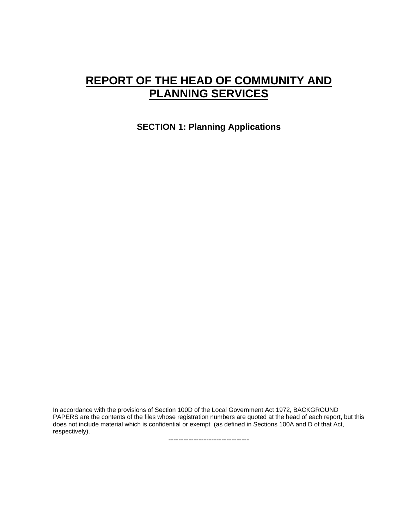# **REPORT OF THE HEAD OF COMMUNITY AND PLANNING SERVICES**

**SECTION 1: Planning Applications** 

In accordance with the provisions of Section 100D of the Local Government Act 1972, BACKGROUND PAPERS are the contents of the files whose registration numbers are quoted at the head of each report, but this does not include material which is confidential or exempt (as defined in Sections 100A and D of that Act, respectively).

--------------------------------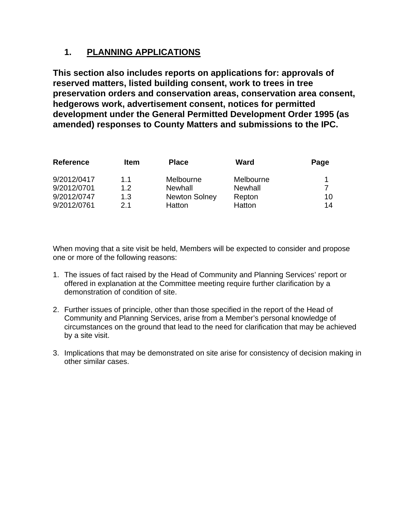# **1. PLANNING APPLICATIONS**

**This section also includes reports on applications for: approvals of reserved matters, listed building consent, work to trees in tree preservation orders and conservation areas, conservation area consent, hedgerows work, advertisement consent, notices for permitted development under the General Permitted Development Order 1995 (as amended) responses to County Matters and submissions to the IPC.** 

| <b>Reference</b> | <b>Item</b> | <b>Place</b>         | Ward      | Page |
|------------------|-------------|----------------------|-----------|------|
| 9/2012/0417      | 1.1         | Melbourne            | Melbourne | -1   |
| 9/2012/0701      | 1.2         | Newhall              | Newhall   |      |
| 9/2012/0747      | 1.3         | <b>Newton Solney</b> | Repton    | 10   |
| 9/2012/0761      | 21          | Hatton               | Hatton    | 14   |

When moving that a site visit be held, Members will be expected to consider and propose one or more of the following reasons:

- 1. The issues of fact raised by the Head of Community and Planning Services' report or offered in explanation at the Committee meeting require further clarification by a demonstration of condition of site.
- 2. Further issues of principle, other than those specified in the report of the Head of Community and Planning Services, arise from a Member's personal knowledge of circumstances on the ground that lead to the need for clarification that may be achieved by a site visit.
- 3. Implications that may be demonstrated on site arise for consistency of decision making in other similar cases.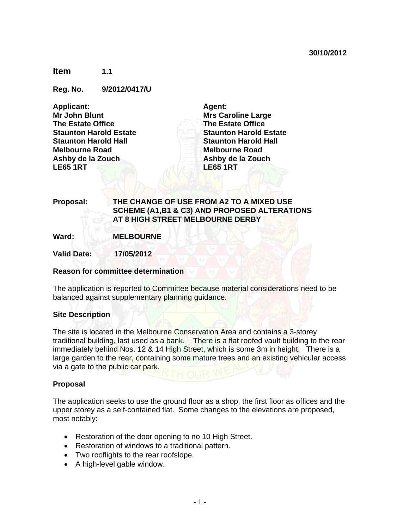**Item 1.1** 

**Reg. No. 9/2012/0417/U** 

**Applicant: Mr John Blunt The Estate Office Staunton Harold Estate Staunton Harold Hall Melbourne Road Ashby de la Zouch LE65 1RT** 

**Agent: Mrs Caroline Large The Estate Office Staunton Harold Estate Staunton Harold Hall Melbourne Road Ashby de la Zouch LE65 1RT** 

**Proposal: THE CHANGE OF USE FROM A2 TO A MIXED USE SCHEME (A1,B1 & C3) AND PROPOSED ALTERATIONS AT 8 HIGH STREET MELBOURNE DERBY**

**Ward: MELBOURNE** 

**Valid Date: 17/05/2012** 

# **Reason for committee determination**

The application is reported to Committee because material considerations need to be balanced against supplementary planning guidance.

# **Site Description**

The site is located in the Melbourne Conservation Area and contains a 3-storey traditional building, last used as a bank. There is a flat roofed vault building to the rear immediately behind Nos. 12 & 14 High Street, which is some 3m in height. There is a large garden to the rear, containing some mature trees and an existing vehicular access via a gate to the public car park.

# **Proposal**

The application seeks to use the ground floor as a shop, the first floor as offices and the upper storey as a self-contained flat. Some changes to the elevations are proposed, most notably:

- Restoration of the door opening to no 10 High Street.
- Restoration of windows to a traditional pattern.
- Two rooflights to the rear roofslope.
- A high-level gable window.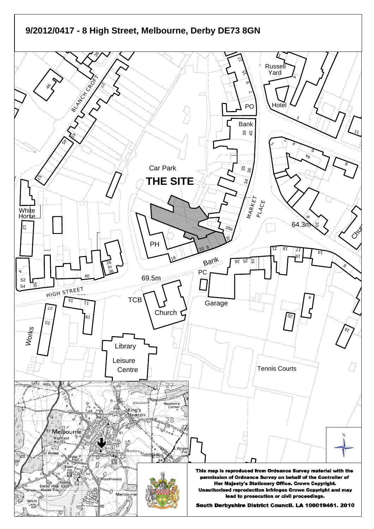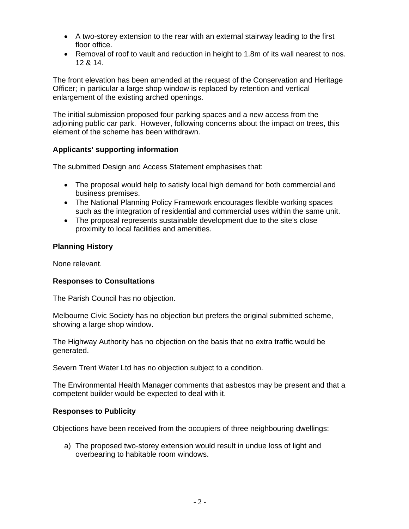- A two-storey extension to the rear with an external stairway leading to the first floor office.
- Removal of roof to vault and reduction in height to 1.8m of its wall nearest to nos. 12 & 14.

The front elevation has been amended at the request of the Conservation and Heritage Officer; in particular a large shop window is replaced by retention and vertical enlargement of the existing arched openings.

The initial submission proposed four parking spaces and a new access from the adjoining public car park. However, following concerns about the impact on trees, this element of the scheme has been withdrawn.

# **Applicants' supporting information**

The submitted Design and Access Statement emphasises that:

- The proposal would help to satisfy local high demand for both commercial and business premises.
- The National Planning Policy Framework encourages flexible working spaces such as the integration of residential and commercial uses within the same unit.
- The proposal represents sustainable development due to the site's close proximity to local facilities and amenities.

# **Planning History**

None relevant.

# **Responses to Consultations**

The Parish Council has no objection.

Melbourne Civic Society has no objection but prefers the original submitted scheme, showing a large shop window.

The Highway Authority has no objection on the basis that no extra traffic would be generated.

Severn Trent Water Ltd has no objection subject to a condition.

The Environmental Health Manager comments that asbestos may be present and that a competent builder would be expected to deal with it.

# **Responses to Publicity**

Objections have been received from the occupiers of three neighbouring dwellings:

a) The proposed two-storey extension would result in undue loss of light and overbearing to habitable room windows.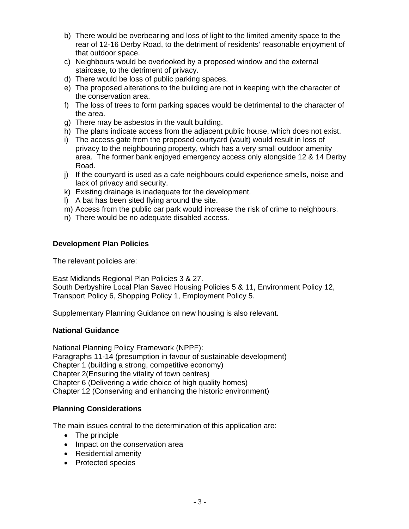- b) There would be overbearing and loss of light to the limited amenity space to the rear of 12-16 Derby Road, to the detriment of residents' reasonable enjoyment of that outdoor space.
- c) Neighbours would be overlooked by a proposed window and the external staircase, to the detriment of privacy.
- d) There would be loss of public parking spaces.
- e) The proposed alterations to the building are not in keeping with the character of the conservation area.
- f) The loss of trees to form parking spaces would be detrimental to the character of the area.
- g) There may be asbestos in the vault building.
- h) The plans indicate access from the adjacent public house, which does not exist.
- i) The access gate from the proposed courtyard (vault) would result in loss of privacy to the neighbouring property, which has a very small outdoor amenity area. The former bank enjoyed emergency access only alongside 12 & 14 Derby Road.
- j) If the courtyard is used as a cafe neighbours could experience smells, noise and lack of privacy and security.
- k) Existing drainage is inadequate for the development.
- l) A bat has been sited flying around the site.
- m) Access from the public car park would increase the risk of crime to neighbours.
- n) There would be no adequate disabled access.

# **Development Plan Policies**

The relevant policies are:

East Midlands Regional Plan Policies 3 & 27.

South Derbyshire Local Plan Saved Housing Policies 5 & 11, Environment Policy 12, Transport Policy 6, Shopping Policy 1, Employment Policy 5.

Supplementary Planning Guidance on new housing is also relevant.

# **National Guidance**

National Planning Policy Framework (NPPF): Paragraphs 11-14 (presumption in favour of sustainable development) Chapter 1 (building a strong, competitive economy) Chapter 2(Ensuring the vitality of town centres) Chapter 6 (Delivering a wide choice of high quality homes) Chapter 12 (Conserving and enhancing the historic environment)

# **Planning Considerations**

The main issues central to the determination of this application are:

- The principle
- Impact on the conservation area
- Residential amenity
- Protected species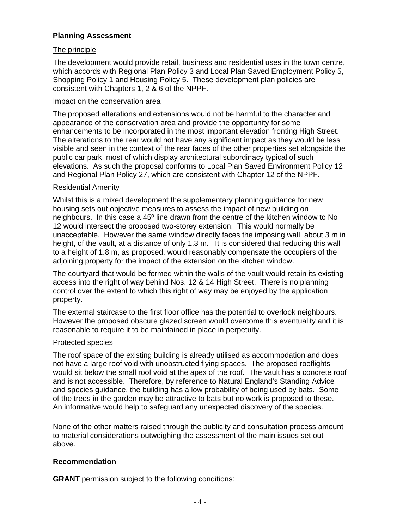# **Planning Assessment**

# The principle

The development would provide retail, business and residential uses in the town centre, which accords with Regional Plan Policy 3 and Local Plan Saved Employment Policy 5, Shopping Policy 1 and Housing Policy 5. These development plan policies are consistent with Chapters 1, 2 & 6 of the NPPF.

# Impact on the conservation area

The proposed alterations and extensions would not be harmful to the character and appearance of the conservation area and provide the opportunity for some enhancements to be incorporated in the most important elevation fronting High Street. The alterations to the rear would not have any significant impact as they would be less visible and seen in the context of the rear faces of the other properties set alongside the public car park, most of which display architectural subordinacy typical of such elevations. As such the proposal conforms to Local Plan Saved Environment Policy 12 and Regional Plan Policy 27, which are consistent with Chapter 12 of the NPPF.

# Residential Amenity

Whilst this is a mixed development the supplementary planning guidance for new housing sets out objective measures to assess the impact of new building on neighbours. In this case a 45º line drawn from the centre of the kitchen window to No 12 would intersect the proposed two-storey extension. This would normally be unacceptable. However the same window directly faces the imposing wall, about 3 m in height, of the vault, at a distance of only 1.3 m. It is considered that reducing this wall to a height of 1.8 m, as proposed, would reasonably compensate the occupiers of the adjoining property for the impact of the extension on the kitchen window.

The courtyard that would be formed within the walls of the vault would retain its existing access into the right of way behind Nos. 12 & 14 High Street. There is no planning control over the extent to which this right of way may be enjoyed by the application property.

The external staircase to the first floor office has the potential to overlook neighbours. However the proposed obscure glazed screen would overcome this eventuality and it is reasonable to require it to be maintained in place in perpetuity.

# Protected species

The roof space of the existing building is already utilised as accommodation and does not have a large roof void with unobstructed flying spaces. The proposed rooflights would sit below the small roof void at the apex of the roof. The vault has a concrete roof and is not accessible. Therefore, by reference to Natural England's Standing Advice and species guidance, the building has a low probability of being used by bats. Some of the trees in the garden may be attractive to bats but no work is proposed to these. An informative would help to safeguard any unexpected discovery of the species.

None of the other matters raised through the publicity and consultation process amount to material considerations outweighing the assessment of the main issues set out above.

# **Recommendation**

**GRANT** permission subject to the following conditions: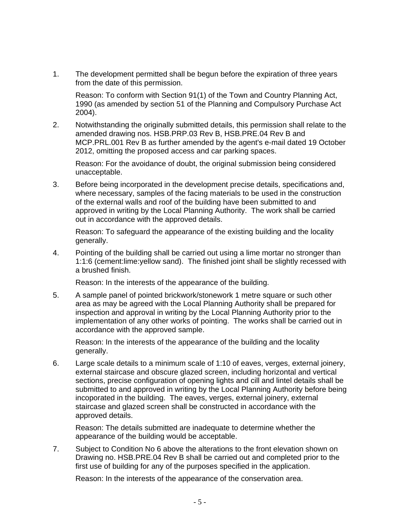1. The development permitted shall be begun before the expiration of three years from the date of this permission.

 Reason: To conform with Section 91(1) of the Town and Country Planning Act, 1990 (as amended by section 51 of the Planning and Compulsory Purchase Act 2004).

2. Notwithstanding the originally submitted details, this permission shall relate to the amended drawing nos. HSB.PRP.03 Rev B, HSB.PRE.04 Rev B and MCP.PRL.001 Rev B as further amended by the agent's e-mail dated 19 October 2012, omitting the proposed access and car parking spaces.

 Reason: For the avoidance of doubt, the original submission being considered unacceptable.

3. Before being incorporated in the development precise details, specifications and, where necessary, samples of the facing materials to be used in the construction of the external walls and roof of the building have been submitted to and approved in writing by the Local Planning Authority. The work shall be carried out in accordance with the approved details.

 Reason: To safeguard the appearance of the existing building and the locality generally.

4. Pointing of the building shall be carried out using a lime mortar no stronger than 1:1:6 (cement:lime:yellow sand). The finished joint shall be slightly recessed with a brushed finish.

Reason: In the interests of the appearance of the building.

5. A sample panel of pointed brickwork/stonework 1 metre square or such other area as may be agreed with the Local Planning Authority shall be prepared for inspection and approval in writing by the Local Planning Authority prior to the implementation of any other works of pointing. The works shall be carried out in accordance with the approved sample.

 Reason: In the interests of the appearance of the building and the locality generally.

6. Large scale details to a minimum scale of 1:10 of eaves, verges, external joinery, external staircase and obscure glazed screen, including horizontal and vertical sections, precise configuration of opening lights and cill and lintel details shall be submitted to and approved in writing by the Local Planning Authority before being incoporated in the building. The eaves, verges, external joinery, external staircase and glazed screen shall be constructed in accordance with the approved details.

 Reason: The details submitted are inadequate to determine whether the appearance of the building would be acceptable.

7. Subject to Condition No 6 above the alterations to the front elevation shown on Drawing no. HSB.PRE.04 Rev B shall be carried out and completed prior to the first use of building for any of the purposes specified in the application.

Reason: In the interests of the appearance of the conservation area.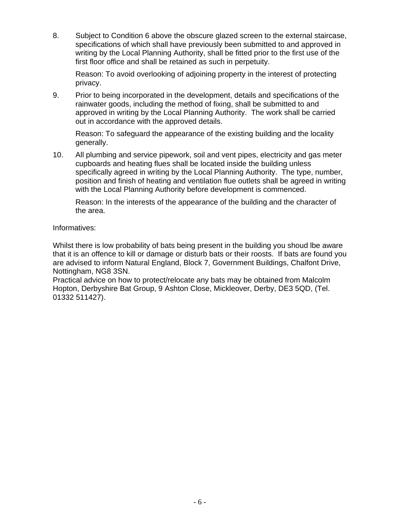8. Subject to Condition 6 above the obscure glazed screen to the external staircase, specifications of which shall have previously been submitted to and approved in writing by the Local Planning Authority, shall be fitted prior to the first use of the first floor office and shall be retained as such in perpetuity.

 Reason: To avoid overlooking of adjoining property in the interest of protecting privacy.

9. Prior to being incorporated in the development, details and specifications of the rainwater goods, including the method of fixing, shall be submitted to and approved in writing by the Local Planning Authority. The work shall be carried out in accordance with the approved details.

 Reason: To safeguard the appearance of the existing building and the locality generally.

10. All plumbing and service pipework, soil and vent pipes, electricity and gas meter cupboards and heating flues shall be located inside the building unless specifically agreed in writing by the Local Planning Authority. The type, number, position and finish of heating and ventilation flue outlets shall be agreed in writing with the Local Planning Authority before development is commenced.

 Reason: In the interests of the appearance of the building and the character of the area.

Informatives:

Whilst there is low probability of bats being present in the building you shoud lbe aware that it is an offence to kill or damage or disturb bats or their roosts. If bats are found you are advised to inform Natural England, Block 7, Government Buildings, Chalfont Drive, Nottingham, NG8 3SN.

Practical advice on how to protect/relocate any bats may be obtained from Malcolm Hopton, Derbyshire Bat Group, 9 Ashton Close, Mickleover, Derby, DE3 5QD, (Tel. 01332 511427).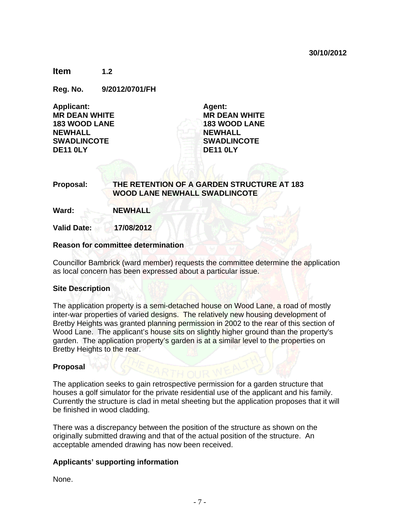**Item 1.2** 

**Reg. No. 9/2012/0701/FH** 

| <b>Applicant:</b>    |  |  |  |
|----------------------|--|--|--|
| <b>MR DEAN WHITE</b> |  |  |  |
| <b>183 WOOD LANE</b> |  |  |  |
| <b>NEWHALL</b>       |  |  |  |
| <b>SWADLINCOTE</b>   |  |  |  |
| <b>DE11 0LY</b>      |  |  |  |

**Agent: MR DEAN WHITE 183 WOOD LANE NEWHALL SWADLINCOTE DE11 0LY** 

# **Proposal: THE RETENTION OF A GARDEN STRUCTURE AT 183 WOOD LANE NEWHALL SWADLINCOTE**

**Ward: NEWHALL** 

**Valid Date: 17/08/2012** 

#### **Reason for committee determination**

Councillor Bambrick (ward member) requests the committee determine the application as local concern has been expressed about a particular issue.

#### **Site Description**

The application property is a semi-detached house on Wood Lane, a road of mostly inter-war properties of varied designs. The relatively new housing development of Bretby Heights was granted planning permission in 2002 to the rear of this section of Wood Lane. The applicant's house sits on slightly higher ground than the property's garden. The application property's garden is at a similar level to the properties on Bretby Heights to the rear.

# **Proposal**

The application seeks to gain retrospective permission for a garden structure that houses a golf simulator for the private residential use of the applicant and his family. Currently the structure is clad in metal sheeting but the application proposes that it will be finished in wood cladding.

There was a discrepancy between the position of the structure as shown on the originally submitted drawing and that of the actual position of the structure. An acceptable amended drawing has now been received.

# **Applicants' supporting information**

None.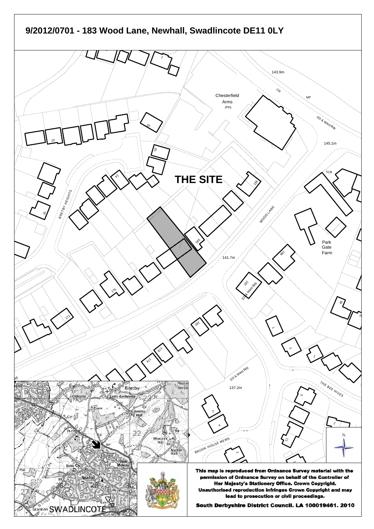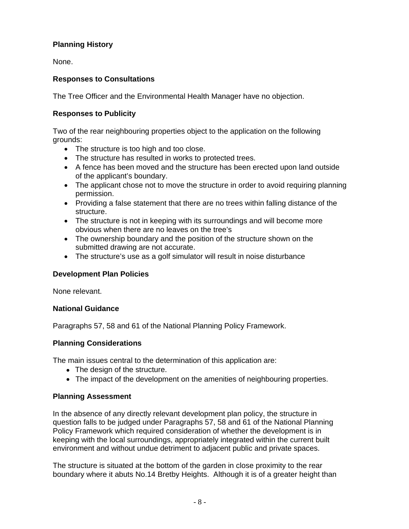# **Planning History**

None.

# **Responses to Consultations**

The Tree Officer and the Environmental Health Manager have no objection.

# **Responses to Publicity**

Two of the rear neighbouring properties object to the application on the following grounds:

- The structure is too high and too close.
- The structure has resulted in works to protected trees.
- A fence has been moved and the structure has been erected upon land outside of the applicant's boundary.
- The applicant chose not to move the structure in order to avoid requiring planning permission.
- Providing a false statement that there are no trees within falling distance of the structure.
- The structure is not in keeping with its surroundings and will become more obvious when there are no leaves on the tree's
- The ownership boundary and the position of the structure shown on the submitted drawing are not accurate.
- The structure's use as a golf simulator will result in noise disturbance

# **Development Plan Policies**

None relevant.

# **National Guidance**

Paragraphs 57, 58 and 61 of the National Planning Policy Framework.

# **Planning Considerations**

The main issues central to the determination of this application are:

- The design of the structure.
- The impact of the development on the amenities of neighbouring properties.

# **Planning Assessment**

In the absence of any directly relevant development plan policy, the structure in question falls to be judged under Paragraphs 57, 58 and 61 of the National Planning Policy Framework which required consideration of whether the development is in keeping with the local surroundings, appropriately integrated within the current built environment and without undue detriment to adjacent public and private spaces.

The structure is situated at the bottom of the garden in close proximity to the rear boundary where it abuts No.14 Bretby Heights. Although it is of a greater height than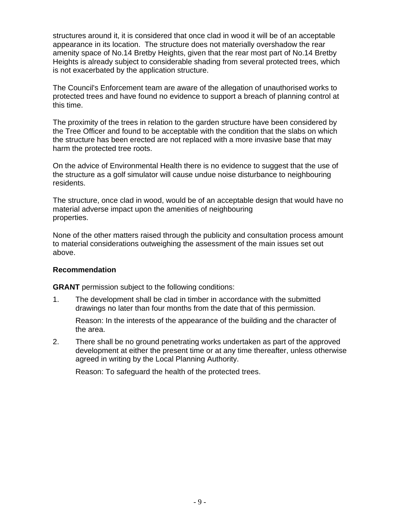structures around it, it is considered that once clad in wood it will be of an acceptable appearance in its location. The structure does not materially overshadow the rear amenity space of No.14 Bretby Heights, given that the rear most part of No.14 Bretby Heights is already subject to considerable shading from several protected trees, which is not exacerbated by the application structure.

The Council's Enforcement team are aware of the allegation of unauthorised works to protected trees and have found no evidence to support a breach of planning control at this time.

The proximity of the trees in relation to the garden structure have been considered by the Tree Officer and found to be acceptable with the condition that the slabs on which the structure has been erected are not replaced with a more invasive base that may harm the protected tree roots.

On the advice of Environmental Health there is no evidence to suggest that the use of the structure as a golf simulator will cause undue noise disturbance to neighbouring residents.

The structure, once clad in wood, would be of an acceptable design that would have no material adverse impact upon the amenities of neighbouring properties.

None of the other matters raised through the publicity and consultation process amount to material considerations outweighing the assessment of the main issues set out above.

# **Recommendation**

**GRANT** permission subject to the following conditions:

1. The development shall be clad in timber in accordance with the submitted drawings no later than four months from the date that of this permission.

 Reason: In the interests of the appearance of the building and the character of the area.

2. There shall be no ground penetrating works undertaken as part of the approved development at either the present time or at any time thereafter, unless otherwise agreed in writing by the Local Planning Authority.

Reason: To safeguard the health of the protected trees.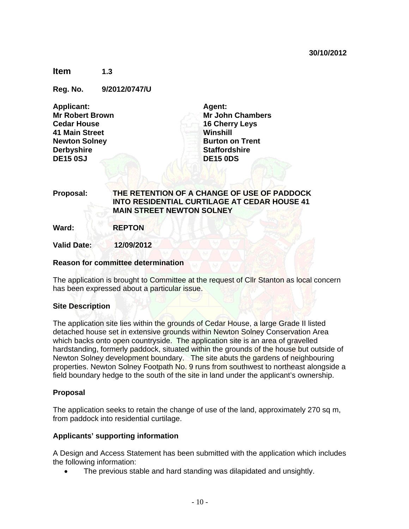**Item 1.3** 

**Reg. No. 9/2012/0747/U** 

| <b>Applicant:</b>      |
|------------------------|
| <b>Mr Robert Brown</b> |
| <b>Cedar House</b>     |
| 41 Main Street         |
| <b>Newton Solney</b>   |
| <b>Derbyshire</b>      |
| <b>DE15 0SJ</b>        |

**Agent: Mr John Chambers 16 Cherry Leys Winshill Burton on Trent Staffordshire DE15 0DS** 

# **Proposal: THE RETENTION OF A CHANGE OF USE OF PADDOCK INTO RESIDENTIAL CURTILAGE AT CEDAR HOUSE 41 MAIN STREET NEWTON SOLNEY**

**Ward: REPTON** 

**Valid Date: 12/09/2012** 

# **Reason for committee determination**

The application is brought to Committee at the request of Cllr Stanton as local concern has been expressed about a particular issue.

# **Site Description**

The application site lies within the grounds of Cedar House, a large Grade II listed detached house set in extensive grounds within Newton Solney Conservation Area which backs onto open countryside. The application site is an area of gravelled hardstanding, formerly paddock, situated within the grounds of the house but outside of Newton Solney development boundary. The site abuts the gardens of neighbouring properties. Newton Solney Footpath No. 9 runs from southwest to northeast alongside a field boundary hedge to the south of the site in land under the applicant's ownership.

# **Proposal**

The application seeks to retain the change of use of the land, approximately 270 sq m, from paddock into residential curtilage.

#### **Applicants' supporting information**

A Design and Access Statement has been submitted with the application which includes the following information:

The previous stable and hard standing was dilapidated and unsightly.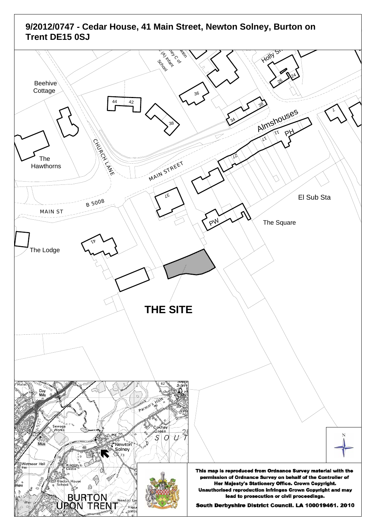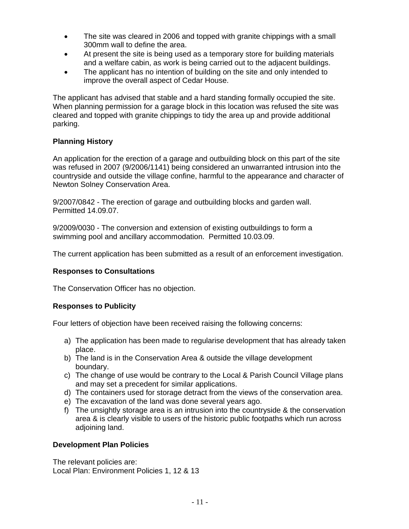- The site was cleared in 2006 and topped with granite chippings with a small 300mm wall to define the area.
- At present the site is being used as a temporary store for building materials and a welfare cabin, as work is being carried out to the adjacent buildings.
- The applicant has no intention of building on the site and only intended to improve the overall aspect of Cedar House.

The applicant has advised that stable and a hard standing formally occupied the site. When planning permission for a garage block in this location was refused the site was cleared and topped with granite chippings to tidy the area up and provide additional parking.

# **Planning History**

An application for the erection of a garage and outbuilding block on this part of the site was refused in 2007 (9/2006/1141) being considered an unwarranted intrusion into the countryside and outside the village confine, harmful to the appearance and character of Newton Solney Conservation Area.

9/2007/0842 - The erection of garage and outbuilding blocks and garden wall. Permitted 14.09.07.

9/2009/0030 - The conversion and extension of existing outbuildings to form a swimming pool and ancillary accommodation. Permitted 10.03.09.

The current application has been submitted as a result of an enforcement investigation.

# **Responses to Consultations**

The Conservation Officer has no objection.

# **Responses to Publicity**

Four letters of objection have been received raising the following concerns:

- a) The application has been made to regularise development that has already taken place.
- b) The land is in the Conservation Area & outside the village development boundary.
- c) The change of use would be contrary to the Local & Parish Council Village plans and may set a precedent for similar applications.
- d) The containers used for storage detract from the views of the conservation area.
- e) The excavation of the land was done several years ago.
- f) The unsightly storage area is an intrusion into the countryside & the conservation area & is clearly visible to users of the historic public footpaths which run across adjoining land.

# **Development Plan Policies**

The relevant policies are: Local Plan: Environment Policies 1, 12 & 13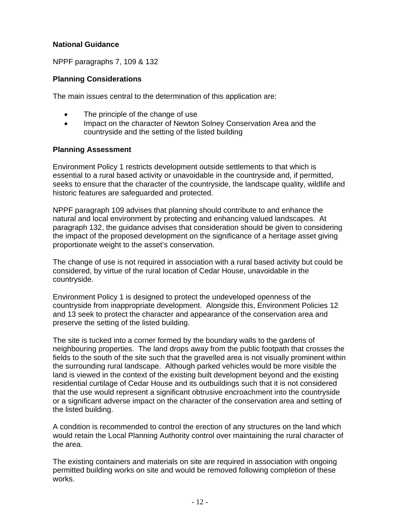# **National Guidance**

NPPF paragraphs 7, 109 & 132

# **Planning Considerations**

The main issues central to the determination of this application are:

- The principle of the change of use
- Impact on the character of Newton Solney Conservation Area and the countryside and the setting of the listed building

# **Planning Assessment**

Environment Policy 1 restricts development outside settlements to that which is essential to a rural based activity or unavoidable in the countryside and, if permitted, seeks to ensure that the character of the countryside, the landscape quality, wildlife and historic features are safeguarded and protected.

NPPF paragraph 109 advises that planning should contribute to and enhance the natural and local environment by protecting and enhancing valued landscapes. At paragraph 132, the guidance advises that consideration should be given to considering the impact of the proposed development on the significance of a heritage asset giving proportionate weight to the asset's conservation.

The change of use is not required in association with a rural based activity but could be considered, by virtue of the rural location of Cedar House, unavoidable in the countryside.

Environment Policy 1 is designed to protect the undeveloped openness of the countryside from inappropriate development. Alongside this, Environment Policies 12 and 13 seek to protect the character and appearance of the conservation area and preserve the setting of the listed building.

The site is tucked into a corner formed by the boundary walls to the gardens of neighbouring properties. The land drops away from the public footpath that crosses the fields to the south of the site such that the gravelled area is not visually prominent within the surrounding rural landscape. Although parked vehicles would be more visible the land is viewed in the context of the existing built development beyond and the existing residential curtilage of Cedar House and its outbuildings such that it is not considered that the use would represent a significant obtrusive encroachment into the countryside or a significant adverse impact on the character of the conservation area and setting of the listed building.

A condition is recommended to control the erection of any structures on the land which would retain the Local Planning Authority control over maintaining the rural character of the area.

The existing containers and materials on site are required in association with ongoing permitted building works on site and would be removed following completion of these works.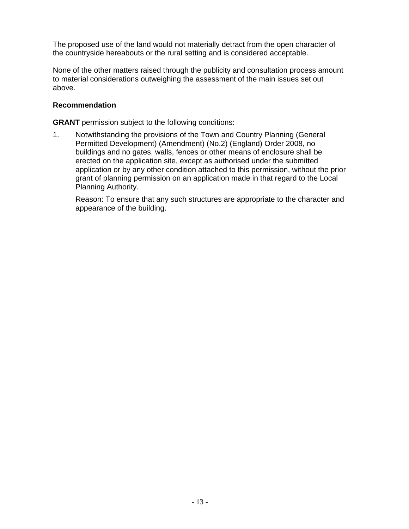The proposed use of the land would not materially detract from the open character of the countryside hereabouts or the rural setting and is considered acceptable.

None of the other matters raised through the publicity and consultation process amount to material considerations outweighing the assessment of the main issues set out above.

# **Recommendation**

**GRANT** permission subject to the following conditions:

1. Notwithstanding the provisions of the Town and Country Planning (General Permitted Development) (Amendment) (No.2) (England) Order 2008, no buildings and no gates, walls, fences or other means of enclosure shall be erected on the application site, except as authorised under the submitted application or by any other condition attached to this permission, without the prior grant of planning permission on an application made in that regard to the Local Planning Authority.

 Reason: To ensure that any such structures are appropriate to the character and appearance of the building.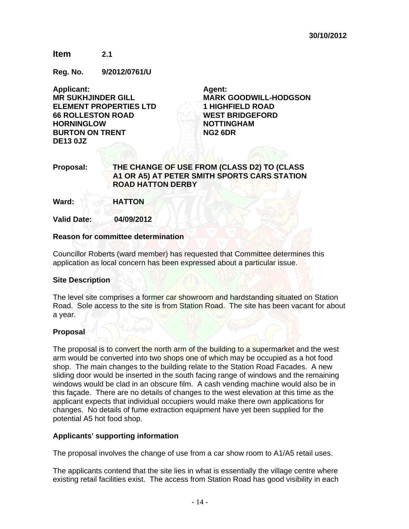# **Item 2.1**

**Reg. No. 9/2012/0761/U** 

**Applicant: MR SUKHJINDER GILL ELEMENT PROPERTIES LTD 66 ROLLESTON ROAD HORNINGLOW BURTON ON TRENT DE13 0JZ** 

**Agent: MARK GOODWILL-HODGSON 1 HIGHFIELD ROAD WEST BRIDGEFORD NOTTINGHAM NG2 6DR** 

# **Proposal: THE CHANGE OF USE FROM (CLASS D2) TO (CLASS A1 OR A5) AT PETER SMITH SPORTS CARS STATION ROAD HATTON DERBY**

**Ward: HATTON** 

**Valid Date: 04/09/2012** 

#### **Reason for committee determination**

Councillor Roberts (ward member) has requested that Committee determines this application as local concern has been expressed about a particular issue.

#### **Site Description**

The level site comprises a former car showroom and hardstanding situated on Station Road. Sole access to the site is from Station Road. The site has been vacant for about a year.

#### **Proposal**

The proposal is to convert the north arm of the building to a supermarket and the west arm would be converted into two shops one of which may be occupied as a hot food shop. The main changes to the building relate to the Station Road Facades. A new sliding door would be inserted in the south facing range of windows and the remaining windows would be clad in an obscure film. A cash vending machine would also be in this façade. There are no details of changes to the west elevation at this time as the applicant expects that individual occupiers would make there own applications for changes. No details of fume extraction equipment have yet been supplied for the potential A5 hot food shop.

#### **Applicants' supporting information**

The proposal involves the change of use from a car show room to A1/A5 retail uses.

The applicants contend that the site lies in what is essentially the village centre where existing retail facilities exist. The access from Station Road has good visibility in each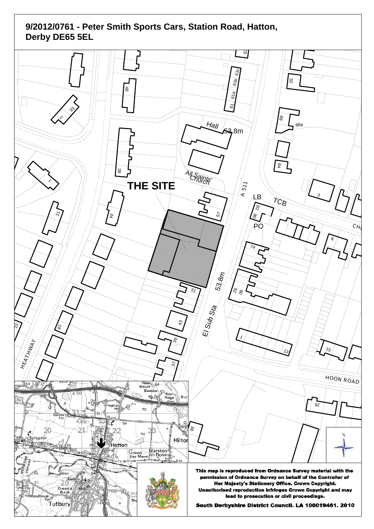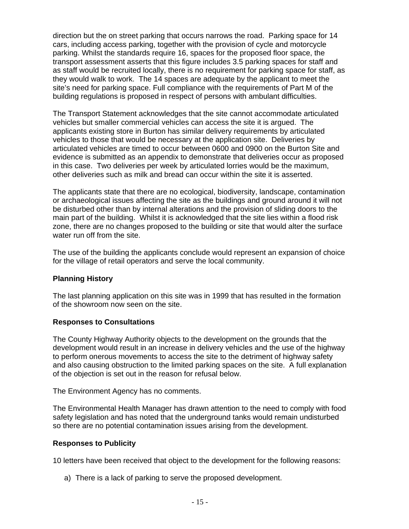direction but the on street parking that occurs narrows the road. Parking space for 14 cars, including access parking, together with the provision of cycle and motorcycle parking. Whilst the standards require 16, spaces for the proposed floor space, the transport assessment asserts that this figure includes 3.5 parking spaces for staff and as staff would be recruited locally, there is no requirement for parking space for staff, as they would walk to work. The 14 spaces are adequate by the applicant to meet the site's need for parking space. Full compliance with the requirements of Part M of the building regulations is proposed in respect of persons with ambulant difficulties.

The Transport Statement acknowledges that the site cannot accommodate articulated vehicles but smaller commercial vehicles can access the site it is argued. The applicants existing store in Burton has similar delivery requirements by articulated vehicles to those that would be necessary at the application site. Deliveries by articulated vehicles are timed to occur between 0600 and 0900 on the Burton Site and evidence is submitted as an appendix to demonstrate that deliveries occur as proposed in this case. Two deliveries per week by articulated lorries would be the maximum, other deliveries such as milk and bread can occur within the site it is asserted.

The applicants state that there are no ecological, biodiversity, landscape, contamination or archaeological issues affecting the site as the buildings and ground around it will not be disturbed other than by internal alterations and the provision of sliding doors to the main part of the building. Whilst it is acknowledged that the site lies within a flood risk zone, there are no changes proposed to the building or site that would alter the surface water run off from the site.

The use of the building the applicants conclude would represent an expansion of choice for the village of retail operators and serve the local community.

# **Planning History**

The last planning application on this site was in 1999 that has resulted in the formation of the showroom now seen on the site.

# **Responses to Consultations**

The County Highway Authority objects to the development on the grounds that the development would result in an increase in delivery vehicles and the use of the highway to perform onerous movements to access the site to the detriment of highway safety and also causing obstruction to the limited parking spaces on the site. A full explanation of the objection is set out in the reason for refusal below.

The Environment Agency has no comments.

The Environmental Health Manager has drawn attention to the need to comply with food safety legislation and has noted that the underground tanks would remain undisturbed so there are no potential contamination issues arising from the development.

# **Responses to Publicity**

10 letters have been received that object to the development for the following reasons:

a) There is a lack of parking to serve the proposed development.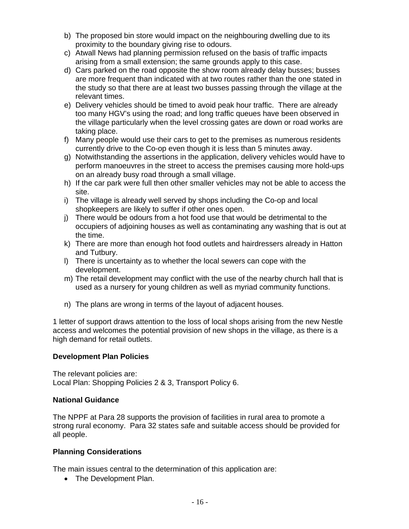- b) The proposed bin store would impact on the neighbouring dwelling due to its proximity to the boundary giving rise to odours.
- c) Atwall News had planning permission refused on the basis of traffic impacts arising from a small extension; the same grounds apply to this case.
- d) Cars parked on the road opposite the show room already delay busses; busses are more frequent than indicated with at two routes rather than the one stated in the study so that there are at least two busses passing through the village at the relevant times.
- e) Delivery vehicles should be timed to avoid peak hour traffic. There are already too many HGV's using the road; and long traffic queues have been observed in the village particularly when the level crossing gates are down or road works are taking place.
- f) Many people would use their cars to get to the premises as numerous residents currently drive to the Co-op even though it is less than 5 minutes away.
- g) Notwithstanding the assertions in the application, delivery vehicles would have to perform manoeuvres in the street to access the premises causing more hold-ups on an already busy road through a small village.
- h) If the car park were full then other smaller vehicles may not be able to access the site.
- i) The village is already well served by shops including the Co-op and local shopkeepers are likely to suffer if other ones open.
- j) There would be odours from a hot food use that would be detrimental to the occupiers of adjoining houses as well as contaminating any washing that is out at the time.
- k) There are more than enough hot food outlets and hairdressers already in Hatton and Tutbury.
- l) There is uncertainty as to whether the local sewers can cope with the development.
- m) The retail development may conflict with the use of the nearby church hall that is used as a nursery for young children as well as myriad community functions.
- n) The plans are wrong in terms of the layout of adjacent houses.

1 letter of support draws attention to the loss of local shops arising from the new Nestle access and welcomes the potential provision of new shops in the village, as there is a high demand for retail outlets.

# **Development Plan Policies**

The relevant policies are: Local Plan: Shopping Policies 2 & 3, Transport Policy 6.

# **National Guidance**

The NPPF at Para 28 supports the provision of facilities in rural area to promote a strong rural economy. Para 32 states safe and suitable access should be provided for all people.

# **Planning Considerations**

The main issues central to the determination of this application are:

• The Development Plan.